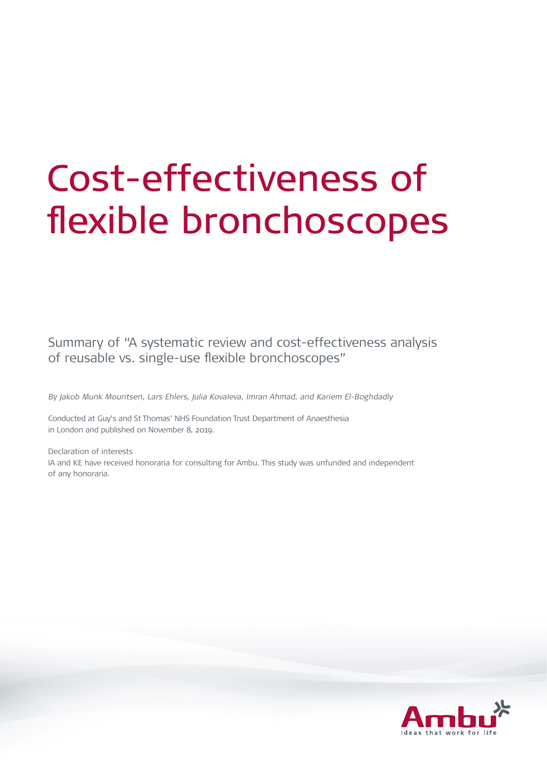# Cost-effectiveness of flexible bronchoscopes

Summary of "A systematic review and cost-effectiveness analysis of reusable vs. single-use flexible bronchoscopes"

By Jakob Munk Mouritsen, Lars Ehlers, Julia Kovaleva, Imran Ahmad, and Kariem El-Boghdadly

Conducted at Guy's and St Thomas' NHS Foundation Trust Department of Anaesthesia in London and published on November 8, 2019.

Declaration of interests IA and KE have received honoraria for consulting for Ambu. This study was unfunded and independent of any honoraria.

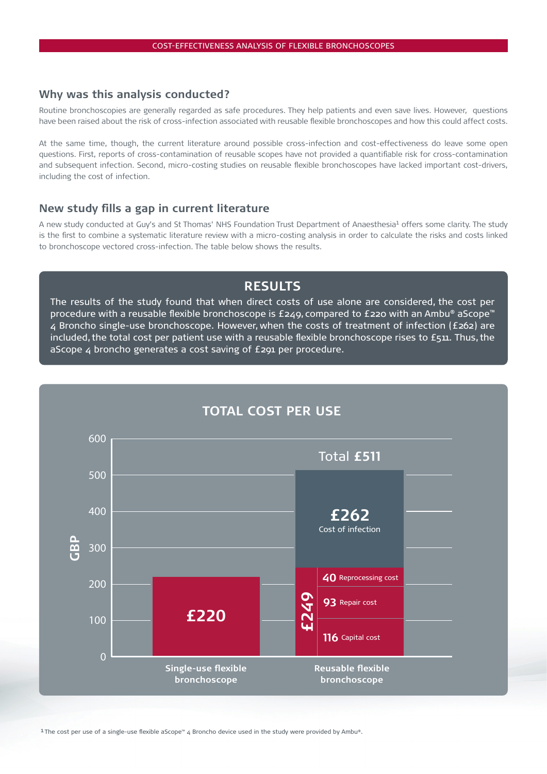#### **Why was this analysis conducted?**

Routine bronchoscopies are generally regarded as safe procedures. They help patients and even save lives. However, questions have been raised about the risk of cross-infection associated with reusable flexible bronchoscopes and how this could affect costs.

At the same time, though, the current literature around possible cross-infection and cost-effectiveness do leave some open questions. First, reports of cross-contamination of reusable scopes have not provided a quantifiable risk for cross-contamination and subsequent infection. Second, micro-costing studies on reusable flexible bronchoscopes have lacked important cost-drivers, including the cost of infection.

## **New study fills a gap in current literature**

A new study conducted at Guy's and St Thomas' NHS Foundation Trust Department of Anaesthesia<sup>1</sup> offers some clarity. The study is the first to combine a systematic literature review with a micro-costing analysis in order to calculate the risks and costs linked to bronchoscope vectored cross-infection. The table below shows the results.

# **RESULTS**

The results of the study found that when direct costs of use alone are considered, the cost per procedure with a reusable flexible bronchoscope is £249, compared to £220 with an Ambu® aScope™ 4 Broncho single-use bronchoscope. However, when the costs of treatment of infection (£262) are included, the total cost per patient use with a reusable flexible bronchoscope rises to £511. Thus, the aScope 4 broncho generates a cost saving of £291 per procedure.

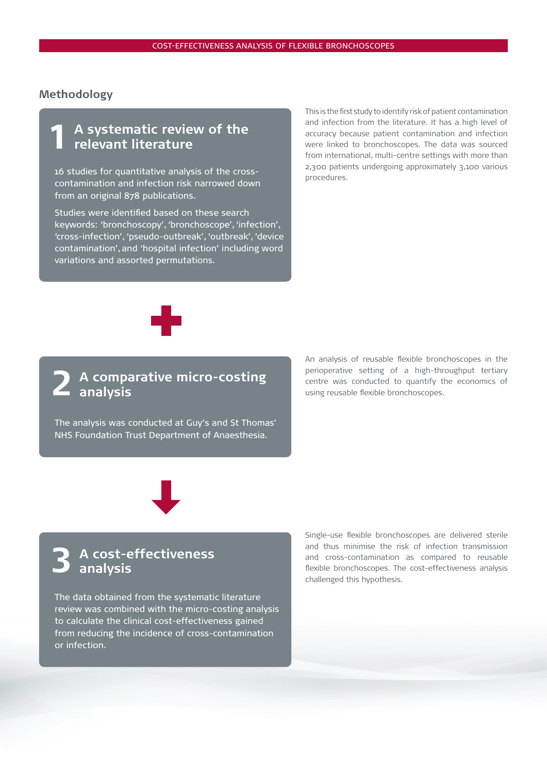#### **Methodology**

# **A systematic review of the relevant literature 1**

procedures. 16 studies for quantitative analysis of the crosscontamination and infection risk narrowed down from an original 878 publications.

Studies were identified based on these search keywords: 'bronchoscopy', 'bronchoscope', 'infection', 'cross-infection', 'pseudo-outbreak', 'outbreak', 'device contamination', and 'hospital infection' including word variations and assorted permutations.

This is the first study to identify risk of patient contamination and infection from the literature. It has a high level of accuracy because patient contamination and infection were linked to bronchoscopes. The data was sourced from international, multi-centre settings with more than 2,300 patients undergoing approximately 3,100 various



#### **A comparative micro-costing analysis 2**

The analysis was conducted at Guy's and St Thomas' NHS Foundation Trust Department of Anaesthesia.

An analysis of reusable flexible bronchoscopes in the perioperative setting of a high-throughput tertiary centre was conducted to quantify the economics of using reusable flexible bronchoscopes.



# **A cost-effectiveness analysis 3**

The data obtained from the systematic literature review was combined with the micro-costing analysis to calculate the clinical cost-effectiveness gained from reducing the incidence of cross-contamination or infection.

Single-use flexible bronchoscopes are delivered sterile and thus minimise the risk of infection transmission and cross-contamination as compared to reusable flexible bronchoscopes. The cost-effectiveness analysis challenged this hypothesis.